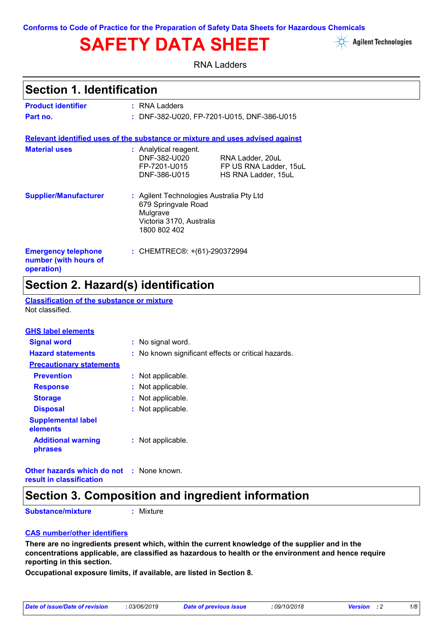# **SAFETY DATA SHEET**



RNA Ladders

### **Section 1. Identification**

| <b>Product identifier</b>                                                     | : RNA Ladders                                                                                                           |                                                                   |
|-------------------------------------------------------------------------------|-------------------------------------------------------------------------------------------------------------------------|-------------------------------------------------------------------|
| Part no.                                                                      |                                                                                                                         | : DNF-382-U020, FP-7201-U015, DNF-386-U015                        |
| Relevant identified uses of the substance or mixture and uses advised against |                                                                                                                         |                                                                   |
| <b>Material uses</b>                                                          | : Analytical reagent.<br>DNF-382-U020<br>FP-7201-U015<br>DNF-386-U015                                                   | RNA Ladder, 20uL<br>FP US RNA Ladder, 15uL<br>HS RNA Ladder, 15uL |
| <b>Supplier/Manufacturer</b>                                                  | : Agilent Technologies Australia Pty Ltd<br>679 Springvale Road<br>Mulgrave<br>Victoria 3170, Australia<br>1800 802 402 |                                                                   |
| <b>Emergency telephone</b><br>number (with hours of<br>operation)             | : CHEMTREC®: +(61)-290372994                                                                                            |                                                                   |

### **Section 2. Hazard(s) identification**

**Classification of the substance or mixture** Not classified.

| <b>GHS label elements</b>             |                                                     |
|---------------------------------------|-----------------------------------------------------|
| <b>Signal word</b>                    | : No signal word.                                   |
| <b>Hazard statements</b>              | : No known significant effects or critical hazards. |
| <b>Precautionary statements</b>       |                                                     |
| <b>Prevention</b>                     | : Not applicable.                                   |
| <b>Response</b>                       | : Not applicable.                                   |
| <b>Storage</b>                        | : Not applicable.                                   |
| <b>Disposal</b>                       | : Not applicable.                                   |
| <b>Supplemental label</b><br>elements |                                                     |
| <b>Additional warning</b><br>phrases  | : Not applicable.                                   |
|                                       |                                                     |

**Other hazards which do not :** None known. **result in classification**

### **Section 3. Composition and ingredient information**

**Substance/mixture**

**:** Mixture

#### **CAS number/other identifiers**

**There are no ingredients present which, within the current knowledge of the supplier and in the concentrations applicable, are classified as hazardous to health or the environment and hence require reporting in this section.**

**Occupational exposure limits, if available, are listed in Section 8.**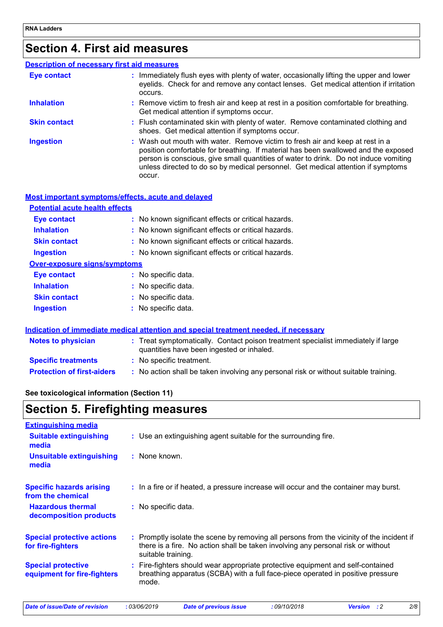### **Section 4. First aid measures**

| <b>Description of necessary first aid measures</b> |                                                                                                                                                                                                                                                                                                                                                           |
|----------------------------------------------------|-----------------------------------------------------------------------------------------------------------------------------------------------------------------------------------------------------------------------------------------------------------------------------------------------------------------------------------------------------------|
| <b>Eye contact</b>                                 | : Immediately flush eyes with plenty of water, occasionally lifting the upper and lower<br>eyelids. Check for and remove any contact lenses. Get medical attention if irritation<br>occurs.                                                                                                                                                               |
| <b>Inhalation</b>                                  | : Remove victim to fresh air and keep at rest in a position comfortable for breathing.<br>Get medical attention if symptoms occur.                                                                                                                                                                                                                        |
| <b>Skin contact</b>                                | : Flush contaminated skin with plenty of water. Remove contaminated clothing and<br>shoes. Get medical attention if symptoms occur.                                                                                                                                                                                                                       |
| <b>Ingestion</b>                                   | : Wash out mouth with water. Remove victim to fresh air and keep at rest in a<br>position comfortable for breathing. If material has been swallowed and the exposed<br>person is conscious, give small quantities of water to drink. Do not induce vomiting<br>unless directed to do so by medical personnel. Get medical attention if symptoms<br>occur. |

#### **Most important symptoms/effects, acute and delayed**

#### **Potential acute health effects**

| <b>Eye contact</b>           | : No known significant effects or critical hazards. |
|------------------------------|-----------------------------------------------------|
| <b>Inhalation</b>            | : No known significant effects or critical hazards. |
| <b>Skin contact</b>          | : No known significant effects or critical hazards. |
| <b>Ingestion</b>             | : No known significant effects or critical hazards. |
| Over-exposure signs/symptoms |                                                     |
| Eye contact                  | : No specific data.                                 |
| <b>Inhalation</b>            | : No specific data.                                 |
| <b>Skin contact</b>          | : No specific data.                                 |
| <b>Ingestion</b>             | : No specific data.                                 |

#### **Indication of immediate medical attention and special treatment needed, if necessary**

| <b>Notes to physician</b>         | : Treat symptomatically. Contact poison treatment specialist immediately if large<br>quantities have been ingested or inhaled. |
|-----------------------------------|--------------------------------------------------------------------------------------------------------------------------------|
| <b>Specific treatments</b>        | : No specific treatment.                                                                                                       |
| <b>Protection of first-aiders</b> | No action shall be taken involving any personal risk or without suitable training.                                             |

#### **See toxicological information (Section 11)**

### **Section 5. Firefighting measures**

| <b>Extinguishing media</b>                               |                                                                                                                                                                                                     |
|----------------------------------------------------------|-----------------------------------------------------------------------------------------------------------------------------------------------------------------------------------------------------|
| <b>Suitable extinguishing</b><br>media                   | : Use an extinguishing agent suitable for the surrounding fire.                                                                                                                                     |
| <b>Unsuitable extinguishing</b><br>media                 | : None known.                                                                                                                                                                                       |
| <b>Specific hazards arising</b><br>from the chemical     | : In a fire or if heated, a pressure increase will occur and the container may burst.                                                                                                               |
| <b>Hazardous thermal</b><br>decomposition products       | : No specific data.                                                                                                                                                                                 |
| <b>Special protective actions</b><br>for fire-fighters   | : Promptly isolate the scene by removing all persons from the vicinity of the incident if<br>there is a fire. No action shall be taken involving any personal risk or without<br>suitable training. |
| <b>Special protective</b><br>equipment for fire-fighters | : Fire-fighters should wear appropriate protective equipment and self-contained<br>breathing apparatus (SCBA) with a full face-piece operated in positive pressure<br>mode.                         |
|                                                          |                                                                                                                                                                                                     |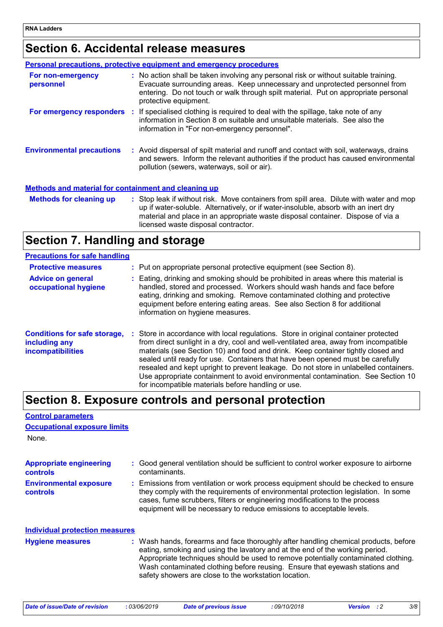### **Section 6. Accidental release measures**

|                                                             | <b>Personal precautions, protective equipment and emergency procedures</b>                                                                                                                                                                                                         |
|-------------------------------------------------------------|------------------------------------------------------------------------------------------------------------------------------------------------------------------------------------------------------------------------------------------------------------------------------------|
| For non-emergency<br>personnel                              | : No action shall be taken involving any personal risk or without suitable training.<br>Evacuate surrounding areas. Keep unnecessary and unprotected personnel from<br>entering. Do not touch or walk through spilt material. Put on appropriate personal<br>protective equipment. |
|                                                             | <b>For emergency responders</b> : If specialised clothing is required to deal with the spillage, take note of any<br>information in Section 8 on suitable and unsuitable materials. See also the<br>information in "For non-emergency personnel".                                  |
| <b>Environmental precautions</b>                            | : Avoid dispersal of spilt material and runoff and contact with soil, waterways, drains<br>and sewers. Inform the relevant authorities if the product has caused environmental<br>pollution (sewers, waterways, soil or air).                                                      |
| <b>Methods and material for containment and cleaning up</b> |                                                                                                                                                                                                                                                                                    |
|                                                             | Methode for observe you and Chapter Chains and Chainston and Chains and Chains and Division and money and money                                                                                                                                                                    |

| <b>Methods for cleaning up</b> | : Stop leak if without risk. Move containers from spill area. Dilute with water and mop |
|--------------------------------|-----------------------------------------------------------------------------------------|
|                                | up if water-soluble. Alternatively, or if water-insoluble, absorb with an inert dry     |
|                                | material and place in an appropriate waste disposal container. Dispose of via a         |
|                                | licensed waste disposal contractor.                                                     |

### **Section 7. Handling and storage**

| <b>Precautions for safe handling</b> |  |
|--------------------------------------|--|
|                                      |  |

**Control parameters**

| <b>Protective measures</b><br><b>Advice on general</b><br>occupational hygiene   | : Put on appropriate personal protective equipment (see Section 8).<br>: Eating, drinking and smoking should be prohibited in areas where this material is<br>handled, stored and processed. Workers should wash hands and face before<br>eating, drinking and smoking. Remove contaminated clothing and protective<br>equipment before entering eating areas. See also Section 8 for additional<br>information on hygiene measures.                                                                                                                                                |
|----------------------------------------------------------------------------------|-------------------------------------------------------------------------------------------------------------------------------------------------------------------------------------------------------------------------------------------------------------------------------------------------------------------------------------------------------------------------------------------------------------------------------------------------------------------------------------------------------------------------------------------------------------------------------------|
| <b>Conditions for safe storage,</b><br>including any<br><b>incompatibilities</b> | : Store in accordance with local regulations. Store in original container protected<br>from direct sunlight in a dry, cool and well-ventilated area, away from incompatible<br>materials (see Section 10) and food and drink. Keep container tightly closed and<br>sealed until ready for use. Containers that have been opened must be carefully<br>resealed and kept upright to prevent leakage. Do not store in unlabelled containers.<br>Use appropriate containment to avoid environmental contamination. See Section 10<br>for incompatible materials before handling or use. |

### **Section 8. Exposure controls and personal protection**

| <b>Occupational exposure limits</b>        |                                                                                                                                                                                                                                                                                                                                                                                                   |
|--------------------------------------------|---------------------------------------------------------------------------------------------------------------------------------------------------------------------------------------------------------------------------------------------------------------------------------------------------------------------------------------------------------------------------------------------------|
| None.                                      |                                                                                                                                                                                                                                                                                                                                                                                                   |
| <b>Appropriate engineering</b><br>controls | : Good general ventilation should be sufficient to control worker exposure to airborne<br>contaminants.                                                                                                                                                                                                                                                                                           |
| <b>Environmental exposure</b><br>controls  | : Emissions from ventilation or work process equipment should be checked to ensure<br>they comply with the requirements of environmental protection legislation. In some<br>cases, fume scrubbers, filters or engineering modifications to the process<br>equipment will be necessary to reduce emissions to acceptable levels.                                                                   |
| <b>Individual protection measures</b>      |                                                                                                                                                                                                                                                                                                                                                                                                   |
| <b>Hygiene measures</b>                    | : Wash hands, forearms and face thoroughly after handling chemical products, before<br>eating, smoking and using the lavatory and at the end of the working period.<br>Appropriate techniques should be used to remove potentially contaminated clothing.<br>Wash contaminated clothing before reusing. Ensure that eyewash stations and<br>safety showers are close to the workstation location. |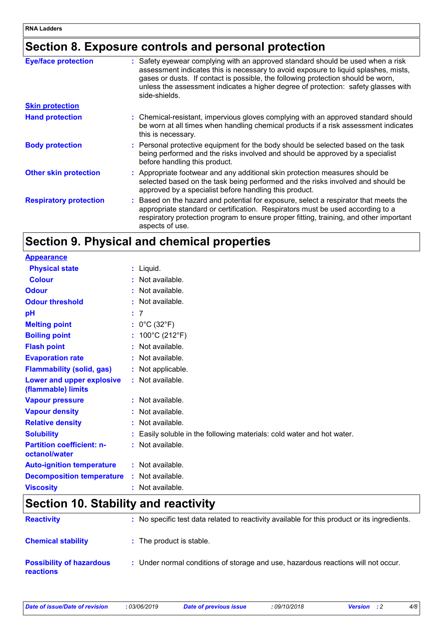### **Section 8. Exposure controls and personal protection**

| <b>Eye/face protection</b>    | : Safety eyewear complying with an approved standard should be used when a risk<br>assessment indicates this is necessary to avoid exposure to liquid splashes, mists,<br>gases or dusts. If contact is possible, the following protection should be worn,<br>unless the assessment indicates a higher degree of protection: safety glasses with<br>side-shields. |
|-------------------------------|-------------------------------------------------------------------------------------------------------------------------------------------------------------------------------------------------------------------------------------------------------------------------------------------------------------------------------------------------------------------|
| <b>Skin protection</b>        |                                                                                                                                                                                                                                                                                                                                                                   |
| <b>Hand protection</b>        | : Chemical-resistant, impervious gloves complying with an approved standard should<br>be worn at all times when handling chemical products if a risk assessment indicates<br>this is necessary.                                                                                                                                                                   |
| <b>Body protection</b>        | : Personal protective equipment for the body should be selected based on the task<br>being performed and the risks involved and should be approved by a specialist<br>before handling this product.                                                                                                                                                               |
| <b>Other skin protection</b>  | : Appropriate footwear and any additional skin protection measures should be<br>selected based on the task being performed and the risks involved and should be<br>approved by a specialist before handling this product.                                                                                                                                         |
| <b>Respiratory protection</b> | : Based on the hazard and potential for exposure, select a respirator that meets the<br>appropriate standard or certification. Respirators must be used according to a<br>respiratory protection program to ensure proper fitting, training, and other important<br>aspects of use.                                                                               |

### **Section 9. Physical and chemical properties**

| <b>Appearance</b>                                 |                                                                        |
|---------------------------------------------------|------------------------------------------------------------------------|
| <b>Physical state</b>                             | $:$ Liquid.                                                            |
| <b>Colour</b>                                     | : Not available.                                                       |
| <b>Odour</b>                                      | : Not available.                                                       |
| <b>Odour threshold</b>                            | : Not available.                                                       |
| pH                                                | : 7                                                                    |
| <b>Melting point</b>                              | : $0^{\circ}$ C (32 $^{\circ}$ F)                                      |
| <b>Boiling point</b>                              | : $100^{\circ}$ C (212 $^{\circ}$ F)                                   |
| <b>Flash point</b>                                | : Not available.                                                       |
| <b>Evaporation rate</b>                           | : Not available.                                                       |
| <b>Flammability (solid, gas)</b>                  | : Not applicable.                                                      |
| Lower and upper explosive<br>(flammable) limits   | $:$ Not available.                                                     |
| <b>Vapour pressure</b>                            | : Not available.                                                       |
| <b>Vapour density</b>                             | $:$ Not available.                                                     |
| <b>Relative density</b>                           | : Not available.                                                       |
| <b>Solubility</b>                                 | : Easily soluble in the following materials: cold water and hot water. |
| <b>Partition coefficient: n-</b><br>octanol/water | : Not available.                                                       |
| <b>Auto-ignition temperature</b>                  | : Not available.                                                       |
| <b>Decomposition temperature</b>                  | : Not available.                                                       |
| <b>Viscosity</b>                                  | $:$ Not available.                                                     |

### **Section 10. Stability and reactivity**

| <b>Reactivity</b>                            | : No specific test data related to reactivity available for this product or its ingredients. |
|----------------------------------------------|----------------------------------------------------------------------------------------------|
| <b>Chemical stability</b>                    | : The product is stable.                                                                     |
| <b>Possibility of hazardous</b><br>reactions | : Under normal conditions of storage and use, hazardous reactions will not occur.            |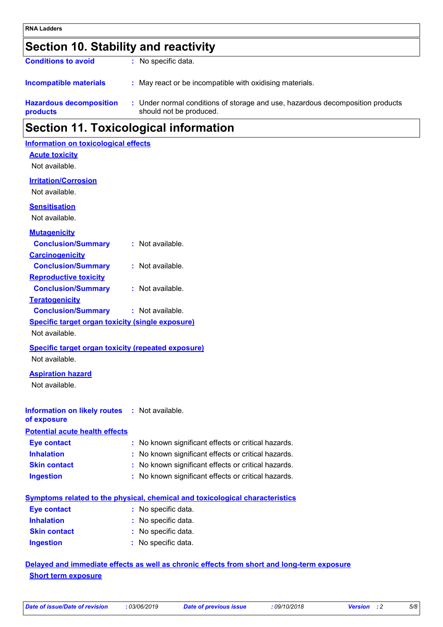## **Section 10. Stability and reactivity**

| Section 11. Toxicological information             |                                                                                                           |  |
|---------------------------------------------------|-----------------------------------------------------------------------------------------------------------|--|
| <b>Hazardous decomposition</b><br><b>products</b> | : Under normal conditions of storage and use, hazardous decomposition products<br>should not be produced. |  |
| <b>Incompatible materials</b>                     | : May react or be incompatible with oxidising materials.                                                  |  |
| <b>Conditions to avoid</b>                        | : No specific data.                                                                                       |  |

### **Information on toxicological effects**

**Acute toxicity**

Not available.

#### **Irritation/Corrosion**

Not available.

**Sensitisation**

Not available.

| <b>Mutagenicity</b>                                       |                                                                                     |
|-----------------------------------------------------------|-------------------------------------------------------------------------------------|
| <b>Conclusion/Summary</b>                                 | $:$ Not available.                                                                  |
| <b>Carcinogenicity</b>                                    |                                                                                     |
| <b>Conclusion/Summary</b>                                 | : Not available.                                                                    |
| <b>Reproductive toxicity</b>                              |                                                                                     |
| <b>Conclusion/Summary</b>                                 | $:$ Not available.                                                                  |
| <b>Teratogenicity</b>                                     |                                                                                     |
| <b>Conclusion/Summary</b>                                 | : Not available.                                                                    |
| <b>Specific target organ toxicity (single exposure)</b>   |                                                                                     |
| Not available.                                            |                                                                                     |
| <b>Specific target organ toxicity (repeated exposure)</b> |                                                                                     |
| Not available.                                            |                                                                                     |
| <b>Aspiration hazard</b>                                  |                                                                                     |
| Not available.                                            |                                                                                     |
|                                                           |                                                                                     |
| <b>Information on likely routes : Not available.</b>      |                                                                                     |
| of exposure                                               |                                                                                     |
| <b>Potential acute health effects</b>                     |                                                                                     |
| <b>Eye contact</b>                                        | : No known significant effects or critical hazards.                                 |
| <b>Inhalation</b>                                         | : No known significant effects or critical hazards.                                 |
| <b>Skin contact</b>                                       | : No known significant effects or critical hazards.                                 |
| <b>Ingestion</b>                                          | : No known significant effects or critical hazards.                                 |
|                                                           |                                                                                     |
|                                                           | <b>Symptoms related to the physical, chemical and toxicological characteristics</b> |
| <b>Eye contact</b>                                        | : No specific data.                                                                 |
| <b>Inhalation</b>                                         | : No specific data.                                                                 |
| <b>Skin contact</b>                                       | No specific data.                                                                   |
| <b>Ingestion</b>                                          | No specific data.                                                                   |
|                                                           |                                                                                     |

#### **Delayed and immediate effects as well as chronic effects from short and long-term exposure Short term exposure**

|  |  | Date of issue/Date of revision |  |
|--|--|--------------------------------|--|
|--|--|--------------------------------|--|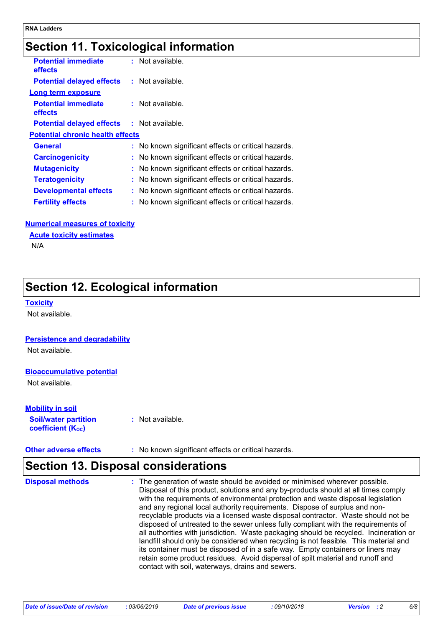### **Section 11. Toxicological information**

| <b>Potential immediate</b><br>effects   | : Not available.                                    |
|-----------------------------------------|-----------------------------------------------------|
| <b>Potential delayed effects</b>        | $:$ Not available.                                  |
| Long term exposure                      |                                                     |
| <b>Potential immediate</b><br>effects   | $:$ Not available.                                  |
| <b>Potential delayed effects</b>        | $:$ Not available.                                  |
| <b>Potential chronic health effects</b> |                                                     |
| General                                 | : No known significant effects or critical hazards. |
| <b>Carcinogenicity</b>                  | : No known significant effects or critical hazards. |
| <b>Mutagenicity</b>                     | : No known significant effects or critical hazards. |
| <b>Teratogenicity</b>                   | : No known significant effects or critical hazards. |
| <b>Developmental effects</b>            | : No known significant effects or critical hazards. |
| <b>Fertility effects</b>                | : No known significant effects or critical hazards. |

#### **Numerical measures of toxicity**

#### **Acute toxicity estimates**

N/A

### **Section 12. Ecological information**

#### **Toxicity**

Not available.

#### **Persistence and degradability**

Not available.

#### **Bioaccumulative potential**

Not available.

#### **Mobility in soil**

**Soil/water partition coefficient (KOC)**

**:** Not available.

**Other adverse effects** : No known significant effects or critical hazards.

### **Section 13. Disposal considerations**

| <b>Disposal methods</b> | : The generation of waste should be avoided or minimised wherever possible.<br>Disposal of this product, solutions and any by-products should at all times comply<br>with the requirements of environmental protection and waste disposal legislation<br>and any regional local authority requirements. Dispose of surplus and non-<br>recyclable products via a licensed waste disposal contractor. Waste should not be<br>disposed of untreated to the sewer unless fully compliant with the requirements of<br>all authorities with jurisdiction. Waste packaging should be recycled. Incineration or<br>landfill should only be considered when recycling is not feasible. This material and<br>its container must be disposed of in a safe way. Empty containers or liners may<br>retain some product residues. Avoid dispersal of spilt material and runoff and |
|-------------------------|-----------------------------------------------------------------------------------------------------------------------------------------------------------------------------------------------------------------------------------------------------------------------------------------------------------------------------------------------------------------------------------------------------------------------------------------------------------------------------------------------------------------------------------------------------------------------------------------------------------------------------------------------------------------------------------------------------------------------------------------------------------------------------------------------------------------------------------------------------------------------|
|                         | contact with soil, waterways, drains and sewers.                                                                                                                                                                                                                                                                                                                                                                                                                                                                                                                                                                                                                                                                                                                                                                                                                      |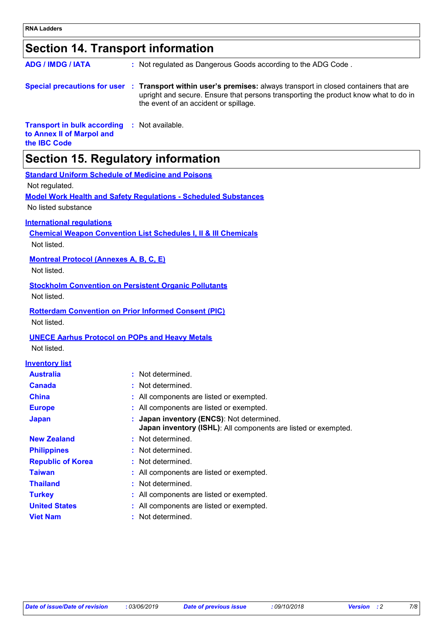### **Section 14. Transport information**

| <b>ADG / IMDG / IATA</b> | : Not regulated as Dangerous Goods according to the ADG Code.                                                                                                                                                                                   |
|--------------------------|-------------------------------------------------------------------------------------------------------------------------------------------------------------------------------------------------------------------------------------------------|
|                          | Special precautions for user : Transport within user's premises: always transport in closed containers that are<br>upright and secure. Ensure that persons transporting the product know what to do in<br>the event of an accident or spillage. |

**Transport in bulk according :** Not available. **to Annex II of Marpol and the IBC Code**

### **Section 15. Regulatory information**

| <b>Standard Uniform Schedule of Medicine and Poisons</b> |
|----------------------------------------------------------|
|----------------------------------------------------------|

Not regulated.

**Model Work Health and Safety Regulations - Scheduled Substances**

No listed substance

#### **International regulations**

**Chemical Weapon Convention List Schedules I, II & III Chemicals** Not listed.

#### **Montreal Protocol (Annexes A, B, C, E)**

Not listed.

#### **Stockholm Convention on Persistent Organic Pollutants**

Not listed.

#### **Rotterdam Convention on Prior Informed Consent (PIC)**

Not listed.

#### **UNECE Aarhus Protocol on POPs and Heavy Metals**

Not listed.

#### **Inventory list**

| <b>Australia</b>         | : Not determined.                                                                                           |
|--------------------------|-------------------------------------------------------------------------------------------------------------|
| <b>Canada</b>            | : Not determined.                                                                                           |
| <b>China</b>             | : All components are listed or exempted.                                                                    |
| <b>Europe</b>            | : All components are listed or exempted.                                                                    |
| <b>Japan</b>             | : Japan inventory (ENCS): Not determined.<br>Japan inventory (ISHL): All components are listed or exempted. |
| <b>New Zealand</b>       | : Not determined.                                                                                           |
| <b>Philippines</b>       | : Not determined.                                                                                           |
| <b>Republic of Korea</b> | : Not determined.                                                                                           |
| <b>Taiwan</b>            | : All components are listed or exempted.                                                                    |
| <b>Thailand</b>          | : Not determined.                                                                                           |
| <b>Turkey</b>            | : All components are listed or exempted.                                                                    |
| <b>United States</b>     | : All components are listed or exempted.                                                                    |
| <b>Viet Nam</b>          | : Not determined.                                                                                           |